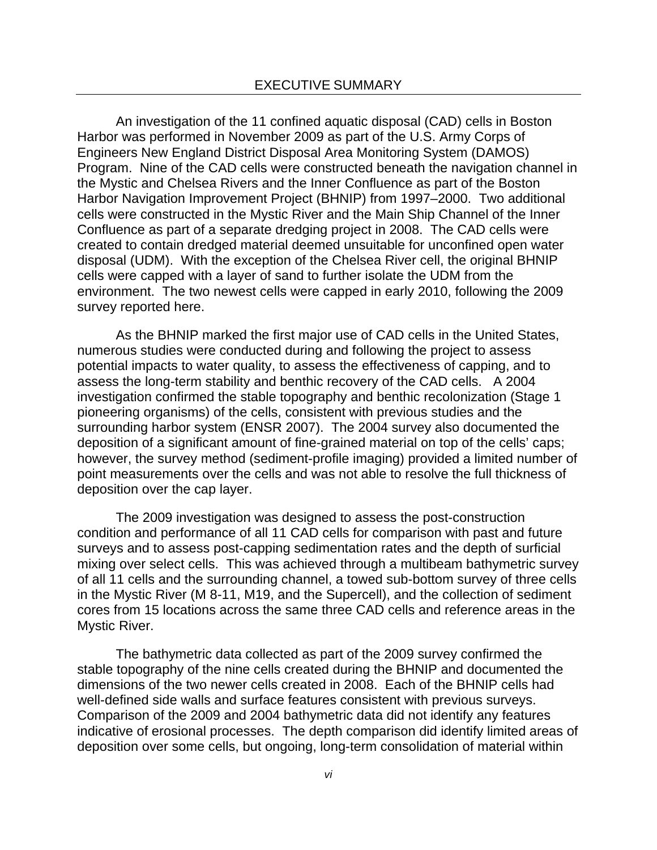An investigation of the 11 confined aquatic disposal (CAD) cells in Boston Harbor was performed in November 2009 as part of the U.S. Army Corps of Engineers New England District Disposal Area Monitoring System (DAMOS) Program. Nine of the CAD cells were constructed beneath the navigation channel in the Mystic and Chelsea Rivers and the Inner Confluence as part of the Boston Harbor Navigation Improvement Project (BHNIP) from 1997–2000. Two additional cells were constructed in the Mystic River and the Main Ship Channel of the Inner Confluence as part of a separate dredging project in 2008. The CAD cells were created to contain dredged material deemed unsuitable for unconfined open water disposal (UDM). With the exception of the Chelsea River cell, the original BHNIP cells were capped with a layer of sand to further isolate the UDM from the environment. The two newest cells were capped in early 2010, following the 2009 survey reported here.

As the BHNIP marked the first major use of CAD cells in the United States, numerous studies were conducted during and following the project to assess potential impacts to water quality, to assess the effectiveness of capping, and to assess the long-term stability and benthic recovery of the CAD cells. A 2004 investigation confirmed the stable topography and benthic recolonization (Stage 1 pioneering organisms) of the cells, consistent with previous studies and the surrounding harbor system (ENSR 2007). The 2004 survey also documented the deposition of a significant amount of fine-grained material on top of the cells' caps; however, the survey method (sediment-profile imaging) provided a limited number of point measurements over the cells and was not able to resolve the full thickness of deposition over the cap layer.

The 2009 investigation was designed to assess the post-construction condition and performance of all 11 CAD cells for comparison with past and future surveys and to assess post-capping sedimentation rates and the depth of surficial mixing over select cells. This was achieved through a multibeam bathymetric survey of all 11 cells and the surrounding channel, a towed sub-bottom survey of three cells in the Mystic River (M 8-11, M19, and the Supercell), and the collection of sediment cores from 15 locations across the same three CAD cells and reference areas in the Mystic River.

The bathymetric data collected as part of the 2009 survey confirmed the stable topography of the nine cells created during the BHNIP and documented the dimensions of the two newer cells created in 2008. Each of the BHNIP cells had well-defined side walls and surface features consistent with previous surveys. Comparison of the 2009 and 2004 bathymetric data did not identify any features indicative of erosional processes. The depth comparison did identify limited areas of deposition over some cells, but ongoing, long-term consolidation of material within